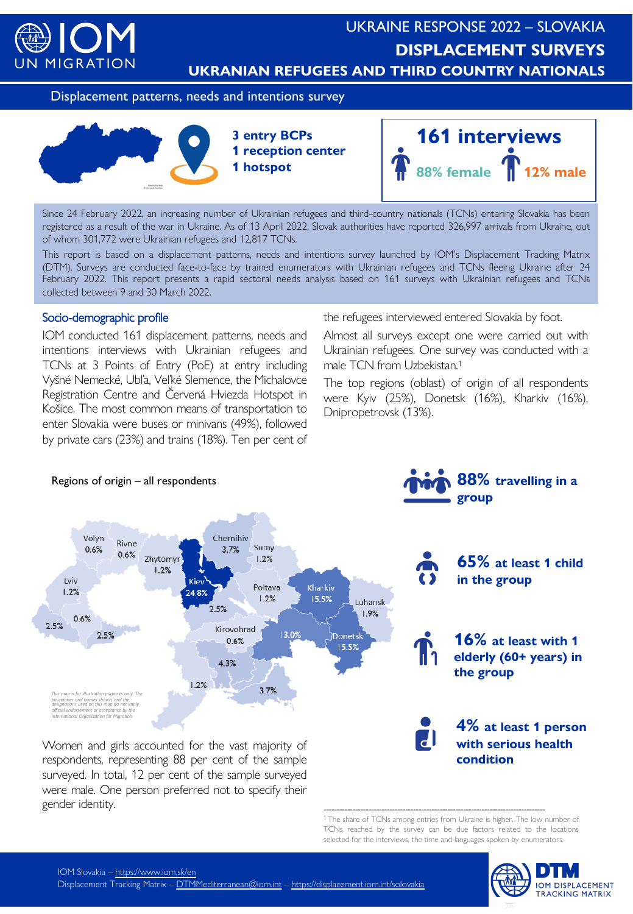

# UKRAINE RESPONSE 2022 – SLOVAKIA **DISPLACEMENT SURVEYS UKRANIAN REFUGEES AND THIRD COUNTRY NATIONALS**

Displacement patterns, needs and intentions survey



Since 24 February 2022, an increasing number of Ukrainian refugees and third-country nationals (TCNs) entering Slovakia has been registered as a result of the war in Ukraine. As of 13 April 2022, Slovak authorities have reported 326,997 arrivals from Ukraine, out of whom 301,772 were Ukrainian refugees and 12,817 TCNs.

This report is based on a displacement patterns, needs and intentions survey launched by IOM's Displacement Tracking Matrix (DTM). Surveys are conducted face-to-face by trained enumerators with Ukrainian refugees and TCNs fleeing Ukraine after 24 February 2022. This report presents a rapid sectoral needs analysis based on 161 surveys with Ukrainian refugees and TCNs collected between 9 and 30 March 2022.

### Socio-demographic profile

IOM conducted 161 displacement patterns, needs and intentions interviews with Ukrainian refugees and TCNs at 3 Points of Entry (PoE) at entry including Vyšné Nemecké, Ubľa, Veľké Slemence, the Michalovce Registration Centre and Červená Hviezda Hotspot in Košice. The most common means of transportation to enter Slovakia were buses or minivans (49%), followed by private cars (23%) and trains (18%). Ten per cent of

the refugees interviewed entered Slovakia by foot.

Almost all surveys except one were carried out with Ukrainian refugees. One survey was conducted with a male TCN from Uzbekistan. 1

The top regions (oblast) of origin of all respondents were Kyiv (25%), Donetsk (16%), Kharkiv (16%), Dnipropetrovsk (13%).



<sup>1</sup> The share of TCNs among entries from Ukraine is higher. The low number of TCNs reached by the survey can be due factors related to the locations selected for the interviews, the time and languages spoken by enumerators.



were male. One person preferred not to specify their gender identity.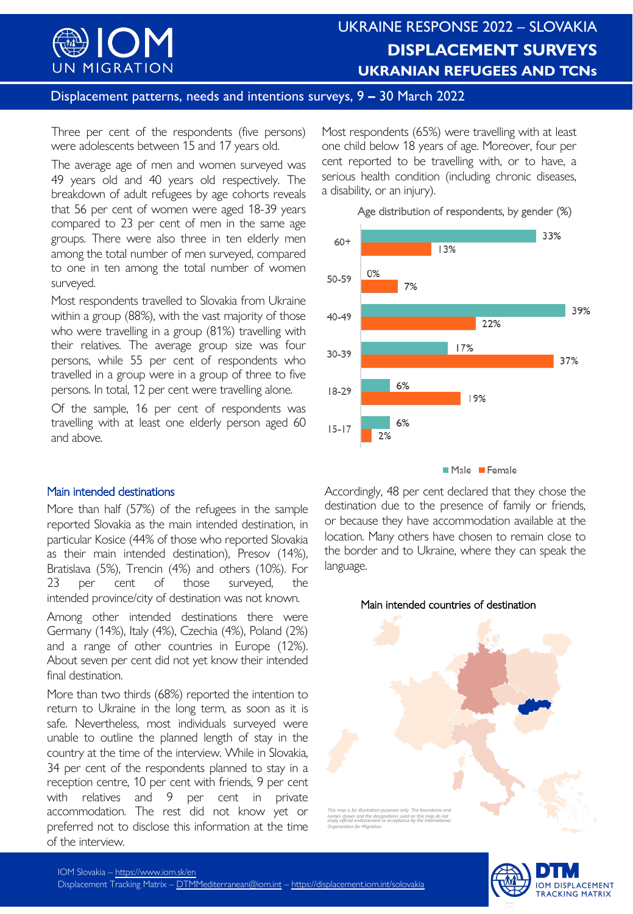

## UKRAINE RESPONSE 2022 – SLOVAKIA **DISPLACEMENT SURVEYS UKRANIAN REFUGEES AND TCNs**

### Displacement patterns, needs and intentions surveys, 9 **–** 30 March 2022

Three per cent of the respondents (five persons) were adolescents between 15 and 17 years old.

The average age of men and women surveyed was 49 years old and 40 years old respectively. The breakdown of adult refugees by age cohorts reveals that 56 per cent of women were aged 18-39 years compared to 23 per cent of men in the same age groups. There were also three in ten elderly men among the total number of men surveyed, compared to one in ten among the total number of women surveyed.

Most respondents travelled to Slovakia from Ukraine within a group (88%), with the vast majority of those who were travelling in a group (81%) travelling with their relatives. The average group size was four persons, while 55 per cent of respondents who travelled in a group were in a group of three to five persons. In total, 12 per cent were travelling alone.

Of the sample, 16 per cent of respondents was travelling with at least one elderly person aged 60 and above.

#### Main intended destinations

More than half (57%) of the refugees in the sample reported Slovakia as the main intended destination, in particular Kosice (44% of those who reported Slovakia as their main intended destination), Presov (14%), Bratislava (5%), Trencin (4%) and others (10%). For 23 per cent of those surveyed, the intended province/city of destination was not known.

Among other intended destinations there were Germany (14%), Italy (4%), Czechia (4%), Poland (2%) and a range of other countries in Europe (12%). About seven per cent did not yet know their intended final destination.

More than two thirds (68%) reported the intention to return to Ukraine in the long term, as soon as it is safe. Nevertheless, most individuals surveyed were unable to outline the planned length of stay in the country at the time of the interview. While in Slovakia, 34 per cent of the respondents planned to stay in a reception centre, 10 per cent with friends, 9 per cent with relatives and 9 per cent in private accommodation. The rest did not know yet or preferred not to disclose this information at the time of the interview.

Most respondents (65%) were travelling with at least one child below 18 years of age. Moreover, four per cent reported to be travelling with, or to have, a serious health condition (including chronic diseases, a disability, or an injury).



Accordingly, 48 per cent declared that they chose the destination due to the presence of family or friends, or because they have accommodation available at the location. Many others have chosen to remain close to the border and to Ukraine, where they can speak the language.



*This map is for illustration purposes only. The boundaries and names shown and the designations used on this map do not imply official endorsement or acceptance by the International Organization for Migration.*